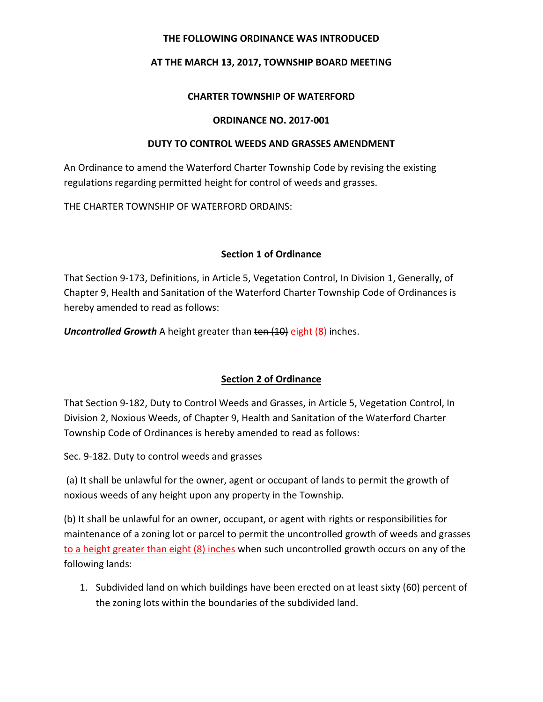### **THE FOLLOWING ORDINANCE WAS INTRODUCED**

## **AT THE MARCH 13, 2017, TOWNSHIP BOARD MEETING**

### **CHARTER TOWNSHIP OF WATERFORD**

### **ORDINANCE NO. 2017-001**

### **DUTY TO CONTROL WEEDS AND GRASSES AMENDMENT**

An Ordinance to amend the Waterford Charter Township Code by revising the existing regulations regarding permitted height for control of weeds and grasses.

THE CHARTER TOWNSHIP OF WATERFORD ORDAINS:

# **Section 1 of Ordinance**

That Section 9-173, Definitions, in Article 5, Vegetation Control, In Division 1, Generally, of Chapter 9, Health and Sanitation of the Waterford Charter Township Code of Ordinances is hereby amended to read as follows:

**Uncontrolled Growth** A height greater than ten (10) eight (8) inches.

# **Section 2 of Ordinance**

That Section 9-182, Duty to Control Weeds and Grasses, in Article 5, Vegetation Control, In Division 2, Noxious Weeds, of Chapter 9, Health and Sanitation of the Waterford Charter Township Code of Ordinances is hereby amended to read as follows:

Sec. 9-182. Duty to control weeds and grasses

(a) It shall be unlawful for the owner, agent or occupant of lands to permit the growth of noxious weeds of any height upon any property in the Township.

(b) It shall be unlawful for an owner, occupant, or agent with rights or responsibilities for maintenance of a zoning lot or parcel to permit the uncontrolled growth of weeds and grasses to a height greater than eight (8) inches when such uncontrolled growth occurs on any of the following lands:

1. Subdivided land on which buildings have been erected on at least sixty (60) percent of the zoning lots within the boundaries of the subdivided land.